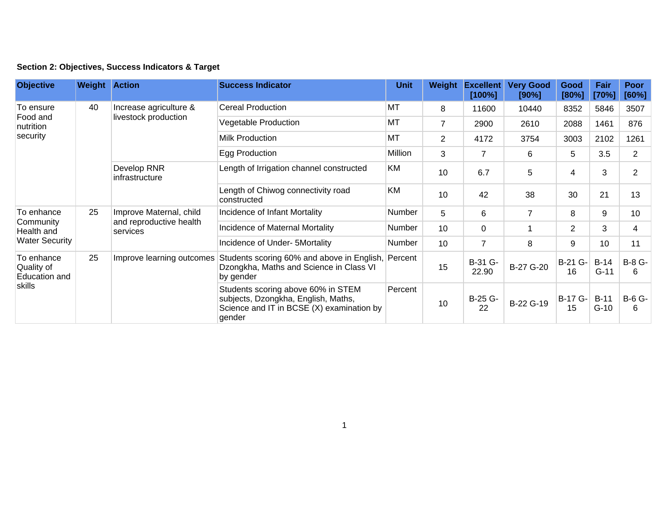|  | Section 2: Objectives, Success Indicators & Target |  |  |  |  |
|--|----------------------------------------------------|--|--|--|--|
|--|----------------------------------------------------|--|--|--|--|

| <b>Objective</b>                                               | <b>Weight Action</b> |                                                                | <b>Success Indicator</b>                                                                                                         | <b>Unit</b>   | Weight         | <b>Excellent</b><br>[100%] | <b>Very Good</b><br>[90%] | Good<br>[80%]  | Fair<br>[70%]    | Poor<br>[60%]  |
|----------------------------------------------------------------|----------------------|----------------------------------------------------------------|----------------------------------------------------------------------------------------------------------------------------------|---------------|----------------|----------------------------|---------------------------|----------------|------------------|----------------|
| To ensure<br>Food and<br>nutrition<br>security                 | 40                   | Increase agriculture &<br>livestock production                 | <b>Cereal Production</b>                                                                                                         | MT            | 8              | 11600                      | 10440                     | 8352           | 5846             | 3507           |
|                                                                |                      |                                                                | Vegetable Production                                                                                                             | MT            | $\overline{7}$ | 2900                       | 2610                      | 2088           | 1461             | 876            |
|                                                                |                      |                                                                | <b>Milk Production</b>                                                                                                           | <b>MT</b>     | $\overline{2}$ | 4172                       | 3754                      | 3003           | 2102             | 1261           |
|                                                                |                      |                                                                | Egg Production                                                                                                                   | Million       | 3              | 7                          | 6                         | 5              | 3.5              | $\overline{2}$ |
|                                                                |                      | Develop RNR<br>infrastructure                                  | Length of Irrigation channel constructed                                                                                         | KM            | 10             | 6.7                        | 5                         | 4              | 3                | $\overline{2}$ |
|                                                                |                      |                                                                | Length of Chiwog connectivity road<br>constructed                                                                                | KM            | 10             | 42                         | 38                        | 30             | 21               | 13             |
| To enhance<br>Community<br>Health and<br><b>Water Security</b> | 25                   | Improve Maternal, child<br>and reproductive health<br>services | Incidence of Infant Mortality                                                                                                    | Number        | 5              | 6                          | $\overline{7}$            | 8              | 9                | 10             |
|                                                                |                      |                                                                | Incidence of Maternal Mortality                                                                                                  | <b>Number</b> | 10             | 0                          |                           | $\overline{2}$ | 3                | 4              |
|                                                                |                      |                                                                | Incidence of Under- 5Mortality                                                                                                   | Number        | 10             | 7                          | 8                         | 9              | 10               | 11             |
| To enhance<br>Quality of<br>Education and<br>skills            | 25                   | Improve learning outcomes                                      | Students scoring 60% and above in English, Percent<br>Dzongkha, Maths and Science in Class VI<br>by gender                       |               | 15             | B-31 G-<br>22.90           | B-27 G-20                 | B-21 G-<br>16  | $B-14$<br>$G-11$ | B-8 G-<br>6    |
|                                                                |                      |                                                                | Students scoring above 60% in STEM<br>subjects, Dzongkha, English, Maths,<br>Science and IT in BCSE (X) examination by<br>gender | Percent       | 10             | B-25 G-<br>22              | B-22 G-19                 | B-17 G-<br>15  | $B-11$<br>$G-10$ | B-6 G-<br>6    |